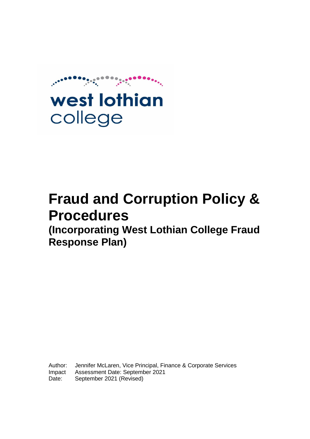

west lothian college

# **Fraud and Corruption Policy & Procedures**

# **(Incorporating West Lothian College Fraud Response Plan)**

Author: Jennifer McLaren, Vice Principal, Finance & Corporate Services Impact Assessment Date: September 2021 Date: September 2021 (Revised)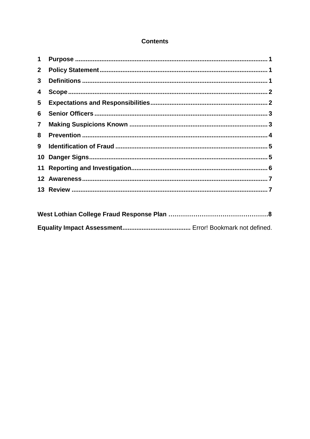# **Contents**

| $\mathbf 1$    |  |
|----------------|--|
| 2 <sup>1</sup> |  |
| 3              |  |
| 4              |  |
| 5              |  |
| 6              |  |
| $\overline{7}$ |  |
| 8              |  |
| 9              |  |
|                |  |
|                |  |
|                |  |
|                |  |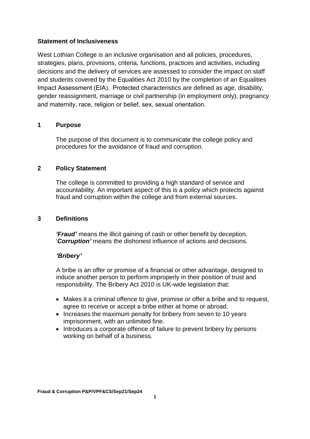# <span id="page-2-0"></span>**Statement of Inclusiveness**

West Lothian College is an inclusive organisation and all policies, procedures, strategies, plans, provisions, criteria, functions, practices and activities, including decisions and the delivery of services are assessed to consider the impact on staff and students covered by the Equalities Act 2010 by the completion of an Equalities Impact Assessment (EIA).  Protected characteristics are defined as age, disability, gender reassignment, marriage or civil partnership (in employment only), pregnancy and maternity, race, religion or belief, sex, sexual orientation. 

# **1 Purpose**

The purpose of this document is to communicate the college policy and procedures for the avoidance of fraud and corruption.

# <span id="page-2-1"></span>**2 Policy Statement**

The college is committed to providing a high standard of service and accountability. An important aspect of this is a policy which protects against fraud and corruption within the college and from external sources.

# <span id="page-2-2"></span>**3 Definitions**

*'Fraud'* means the illicit gaining of cash or other benefit by deception. '*Corruption'* means the dishonest influence of actions and decisions.

### *'Bribery'*

A bribe is an offer or promise of a financial or other advantage, designed to induce another person to perform improperly in their position of trust and responsibility. The Bribery Act 2010 is UK-wide legislation that:

- Makes it a criminal offence to give, promise or offer a bribe and to request, agree to receive or accept a bribe either at home or abroad.
- Increases the maximum penalty for bribery from seven to 10 years imprisonment, with an unlimited fine.
- Introduces a corporate offence of failure to prevent bribery by persons working on behalf of a business.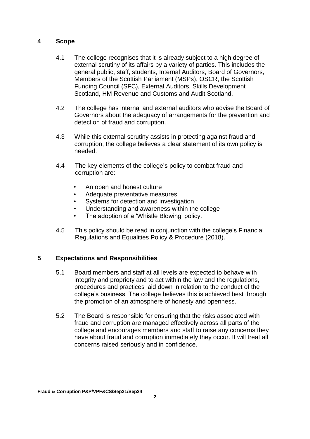# <span id="page-3-0"></span>**4 Scope**

- 4.1 The college recognises that it is already subject to a high degree of external scrutiny of its affairs by a variety of parties. This includes the general public, staff, students, Internal Auditors, Board of Governors, Members of the Scottish Parliament (MSPs), OSCR, the Scottish Funding Council (SFC), External Auditors, Skills Development Scotland, HM Revenue and Customs and Audit Scotland.
- 4.2 The college has internal and external auditors who advise the Board of Governors about the adequacy of arrangements for the prevention and detection of fraud and corruption.
- 4.3 While this external scrutiny assists in protecting against fraud and corruption, the college believes a clear statement of its own policy is needed.
- 4.4 The key elements of the college's policy to combat fraud and corruption are:
	- An open and honest culture
	- Adequate preventative measures
	- Systems for detection and investigation
	- Understanding and awareness within the college
	- The adoption of a 'Whistle Blowing' policy.
- 4.5 This policy should be read in conjunction with the college's Financial Regulations and Equalities Policy & Procedure (2018).

# <span id="page-3-1"></span>**5 Expectations and Responsibilities**

- 5.1 Board members and staff at all levels are expected to behave with integrity and propriety and to act within the law and the regulations, procedures and practices laid down in relation to the conduct of the college's business. The college believes this is achieved best through the promotion of an atmosphere of honesty and openness.
- 5.2 The Board is responsible for ensuring that the risks associated with fraud and corruption are managed effectively across all parts of the college and encourages members and staff to raise any concerns they have about fraud and corruption immediately they occur. It will treat all concerns raised seriously and in confidence.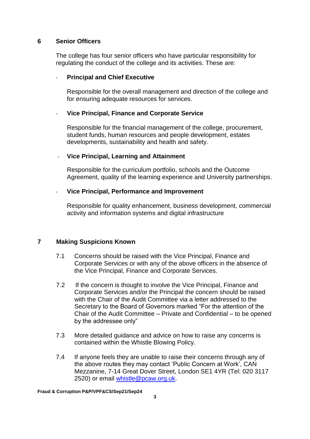#### <span id="page-4-0"></span>**6 Senior Officers**

The college has four senior officers who have particular responsibility for regulating the conduct of the college and its activities. These are:

#### - **Principal and Chief Executive**

Responsible for the overall management and direction of the college and for ensuring adequate resources for services.

### - **Vice Principal, Finance and Corporate Service**

Responsible for the financial management of the college, procurement, student funds, human resources and people development, estates developments, sustainability and health and safety.

### - **Vice Principal, Learning and Attainment**

Responsible for the curriculum portfolio, schools and the Outcome Agreement, quality of the learning experience and University partnerships.

### - **Vice Principal, Performance and Improvement**

Responsible for quality enhancement, business development, commercial activity and information systems and digital infrastructure

### <span id="page-4-1"></span>**7 Making Suspicions Known**

- 7.1 Concerns should be raised with the Vice Principal, Finance and Corporate Services or with any of the above officers in the absence of the Vice Principal, Finance and Corporate Services.
- 7.2 If the concern is thought to involve the Vice Principal, Finance and Corporate Services and/or the Principal the concern should be raised with the Chair of the Audit Committee via a letter addressed to the Secretary to the Board of Governors marked "For the attention of the Chair of the Audit Committee – Private and Confidential – to be opened by the addressee only"
- 7.3 More detailed guidance and advice on how to raise any concerns is contained within the Whistle Blowing Policy.
- 7.4 If anyone feels they are unable to raise their concerns through any of the above routes they may contact 'Public Concern at Work', CAN Mezzanine, 7-14 Great Dover Street, London SE1 4YR (Tel: 020 3117 2520) or email [whistle@pcaw.org.uk.](mailto:whistle@pcaw.org.uk)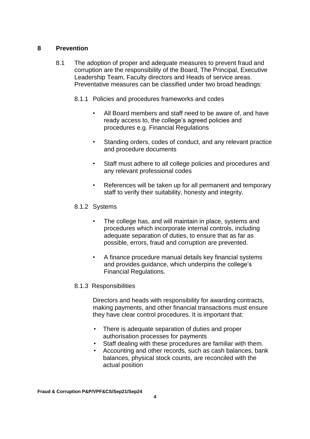# <span id="page-5-0"></span>**8 Prevention**

- 8.1 The adoption of proper and adequate measures to prevent fraud and corruption are the responsibility of the Board, The Principal, Executive Leadership Team, Faculty directors and Heads of service areas. Preventative measures can be classified under two broad headings:
	- 8.1.1 Policies and procedures frameworks and codes
		- All Board members and staff need to be aware of, and have ready access to, the college's agreed policies and procedures e.g. Financial Regulations
		- Standing orders, codes of conduct, and any relevant practice and procedure documents
		- Staff must adhere to all college policies and procedures and any relevant professional codes
		- References will be taken up for all permanent and temporary staff to verify their suitability, honesty and integrity.
	- 8.1.2 Systems
		- The college has, and will maintain in place, systems and procedures which incorporate internal controls, including adequate separation of duties, to ensure that as far as possible, errors, fraud and corruption are prevented.
		- A finance procedure manual details key financial systems and provides guidance, which underpins the college's Financial Regulations.

# 8.1.3 Responsibilities

Directors and heads with responsibility for awarding contracts, making payments, and other financial transactions must ensure they have clear control procedures. It is important that:

- There is adequate separation of duties and proper authorisation processes for payments
- Staff dealing with these procedures are familiar with them.
- Accounting and other records, such as cash balances, bank balances, physical stock counts, are reconciled with the actual position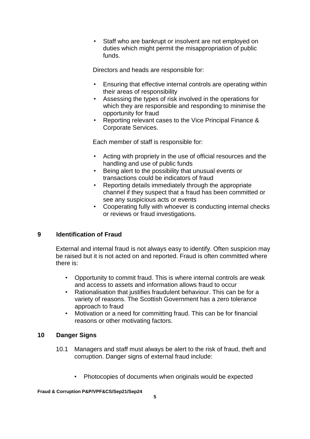Staff who are bankrupt or insolvent are not employed on duties which might permit the misappropriation of public funds.

Directors and heads are responsible for:

- Ensuring that effective internal controls are operating within their areas of responsibility
- Assessing the types of risk involved in the operations for which they are responsible and responding to minimise the opportunity for fraud
- Reporting relevant cases to the Vice Principal Finance & Corporate Services.

Each member of staff is responsible for:

- Acting with propriety in the use of official resources and the handling and use of public funds
- Being alert to the possibility that unusual events or transactions could be indicators of fraud
- Reporting details immediately through the appropriate channel if they suspect that a fraud has been committed or see any suspicious acts or events
- Cooperating fully with whoever is conducting internal checks or reviews or fraud investigations.

# <span id="page-6-0"></span>**9 Identification of Fraud**

External and internal fraud is not always easy to identify. Often suspicion may be raised but it is not acted on and reported. Fraud is often committed where there is:

- Opportunity to commit fraud. This is where internal controls are weak and access to assets and information allows fraud to occur
- Rationalisation that justifies fraudulent behaviour. This can be for a variety of reasons. The Scottish Government has a zero tolerance approach to fraud
- Motivation or a need for committing fraud. This can be for financial reasons or other motivating factors.

### <span id="page-6-1"></span>**10 Danger Signs**

- 10.1 Managers and staff must always be alert to the risk of fraud, theft and corruption. Danger signs of external fraud include:
	- Photocopies of documents when originals would be expected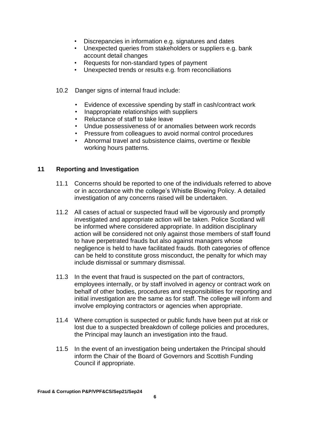- Discrepancies in information e.g. signatures and dates
- Unexpected queries from stakeholders or suppliers e.g. bank account detail changes
- Requests for non-standard types of payment
- Unexpected trends or results e.g. from reconciliations
- 10.2 Danger signs of internal fraud include:
	- Evidence of excessive spending by staff in cash/contract work
	- Inappropriate relationships with suppliers
	- Reluctance of staff to take leave
	- Undue possessiveness of or anomalies between work records
	- Pressure from colleagues to avoid normal control procedures
	- Abnormal travel and subsistence claims, overtime or flexible working hours patterns.

# <span id="page-7-0"></span>**11 Reporting and Investigation**

- 11.1 Concerns should be reported to one of the individuals referred to above or in accordance with the college's Whistle Blowing Policy. A detailed investigation of any concerns raised will be undertaken.
- 11.2 All cases of actual or suspected fraud will be vigorously and promptly investigated and appropriate action will be taken. Police Scotland will be informed where considered appropriate. In addition disciplinary action will be considered not only against those members of staff found to have perpetrated frauds but also against managers whose negligence is held to have facilitated frauds. Both categories of offence can be held to constitute gross misconduct, the penalty for which may include dismissal or summary dismissal.
- 11.3 In the event that fraud is suspected on the part of contractors, employees internally, or by staff involved in agency or contract work on behalf of other bodies, procedures and responsibilities for reporting and initial investigation are the same as for staff. The college will inform and involve employing contractors or agencies when appropriate.
- 11.4 Where corruption is suspected or public funds have been put at risk or lost due to a suspected breakdown of college policies and procedures, the Principal may launch an investigation into the fraud.
- 11.5 In the event of an investigation being undertaken the Principal should inform the Chair of the Board of Governors and Scottish Funding Council if appropriate.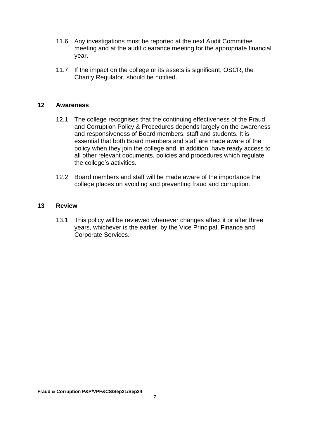- 11.6 Any investigations must be reported at the next Audit Committee meeting and at the audit clearance meeting for the appropriate financial year.
- 11.7 If the impact on the college or its assets is significant, OSCR, the Charity Regulator, should be notified.

#### <span id="page-8-0"></span>**12 Awareness**

- 12.1 The college recognises that the continuing effectiveness of the Fraud and Corruption Policy & Procedures depends largely on the awareness and responsiveness of Board members, staff and students. It is essential that both Board members and staff are made aware of the policy when they join the college and, in addition, have ready access to all other relevant documents, policies and procedures which regulate the college's activities.
- 12.2 Board members and staff will be made aware of the importance the college places on avoiding and preventing fraud and corruption.

#### <span id="page-8-1"></span>**13 Review**

13.1 This policy will be reviewed whenever changes affect it or after three years, whichever is the earlier, by the Vice Principal, Finance and Corporate Services.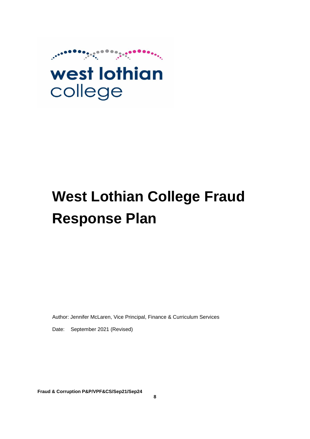# $\mathcal{L}^{\bullet\bullet\bullet\bullet\bullet\bullet}\mathcal{L}^{\bullet\bullet\bullet\bullet\bullet}\mathcal{L}^{\bullet\bullet\bullet\bullet\bullet}\mathcal{L}^{\bullet\bullet\bullet\bullet\bullet}\mathcal{L}^{\bullet\bullet\bullet}\mathcal{L}^{\bullet\bullet\bullet}\mathcal{L}^{\bullet\bullet\bullet}\mathcal{L}^{\bullet\bullet\bullet}\mathcal{L}^{\bullet\bullet\bullet\bullet}\mathcal{L}^{\bullet\bullet\bullet\bullet}\mathcal{L}^{\bullet\bullet\bullet\bullet}\mathcal{L}^{\bullet\bullet\bullet\bullet}\mathcal{L}^{\bullet\bullet\bullet\bullet}\mathcal{L}^{\bullet\bullet\bullet\bullet}\mathcal{L}^{\$ west lothian college

# **West Lothian College Fraud Response Plan**

Author: Jennifer McLaren, Vice Principal, Finance & Curriculum Services

Date: September 2021 (Revised)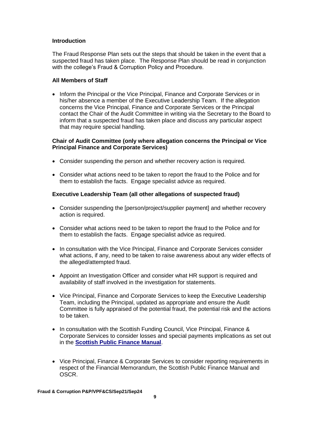#### **Introduction**

The Fraud Response Plan sets out the steps that should be taken in the event that a suspected fraud has taken place. The Response Plan should be read in conjunction with the college's Fraud & Corruption Policy and Procedure.

#### **All Members of Staff**

• Inform the Principal or the Vice Principal, Finance and Corporate Services or in his/her absence a member of the Executive Leadership Team. If the allegation concerns the Vice Principal, Finance and Corporate Services or the Principal contact the Chair of the Audit Committee in writing via the Secretary to the Board to inform that a suspected fraud has taken place and discuss any particular aspect that may require special handling.

#### **Chair of Audit Committee (only where allegation concerns the Principal or Vice Principal Finance and Corporate Services)**

- Consider suspending the person and whether recovery action is required.
- Consider what actions need to be taken to report the fraud to the Police and for them to establish the facts. Engage specialist advice as required.

#### **Executive Leadership Team (all other allegations of suspected fraud)**

- Consider suspending the [person/project/supplier payment] and whether recovery action is required.
- Consider what actions need to be taken to report the fraud to the Police and for them to establish the facts. Engage specialist advice as required.
- In consultation with the Vice Principal, Finance and Corporate Services consider what actions, if any, need to be taken to raise awareness about any wider effects of the alleged/attempted fraud.
- Appoint an Investigation Officer and consider what HR support is required and availability of staff involved in the investigation for statements.
- Vice Principal, Finance and Corporate Services to keep the Executive Leadership Team, including the Principal, updated as appropriate and ensure the Audit Committee is fully appraised of the potential fraud, the potential risk and the actions to be taken.
- In consultation with the Scottish Funding Council, Vice Principal, Finance & Corporate Services to consider losses and special payments implications as set out in the **[Scottish Public Finance Manual](http://www.scotland.gov.uk/Topics/Government/Finance/spfm/lossesetc)**.
- Vice Principal, Finance & Corporate Services to consider reporting requirements in respect of the Financial Memorandum, the Scottish Public Finance Manual and OSCR.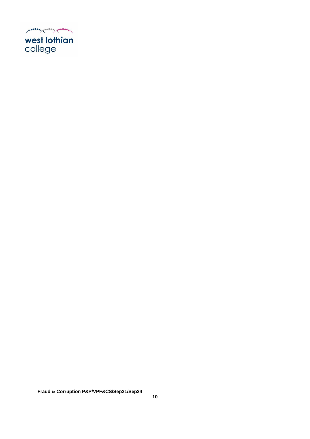$e^{i\frac{e^{i\theta_{1}+\theta_{2}}}{\sqrt{2}}\int_{0}^{1/2}e^{i\theta_{1}+\theta_{2}}\int_{0}^{1/2}e^{i\theta_{2}+\theta_{2}}e_{i}\int_{0}^{1/2}e^{i\theta_{1}+\theta_{2}}e_{i}\int_{0}^{1/2}e^{i\theta_{2}+\theta_{2}}e_{i}\int_{0}^{1/2}e^{i\theta_{1}+\theta_{2}}e_{i}\int_{0}^{1/2}e^{i\theta_{2}+\theta_{2}}e_{i}\int_{0}^{1/2}e^{i\theta_{1}+\theta_{2}}e_{i}\int_{0}^{1/2}e^{i\theta_{$ 

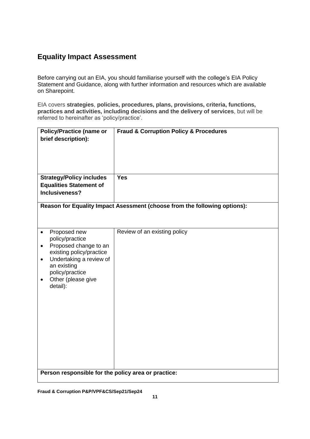# **Equality Impact Assessment**

Before carrying out an EIA, you should familiarise yourself with the college's EIA Policy Statement and Guidance, along with further information and resources which are available on Sharepoint.

EIA covers **strategies**, **policies, procedures, plans, provisions, criteria, functions, practices and activities, including decisions and the delivery of services**, but will be referred to hereinafter as 'policy/practice'.

| <b>Policy/Practice (name or</b><br>brief description):                                                                                                                                                                                  | <b>Fraud &amp; Corruption Policy &amp; Procedures</b> |  |  |  |
|-----------------------------------------------------------------------------------------------------------------------------------------------------------------------------------------------------------------------------------------|-------------------------------------------------------|--|--|--|
| <b>Strategy/Policy includes</b><br><b>Equalities Statement of</b><br>Inclusiveness?                                                                                                                                                     | <b>Yes</b>                                            |  |  |  |
| Reason for Equality Impact Asessment (choose from the following options):                                                                                                                                                               |                                                       |  |  |  |
| Proposed new<br>$\bullet$<br>policy/practice<br>Proposed change to an<br>$\bullet$<br>existing policy/practice<br>Undertaking a review of<br>$\bullet$<br>an existing<br>policy/practice<br>Other (please give<br>$\bullet$<br>detail): | Review of an existing policy                          |  |  |  |
| Person responsible for the policy area or practice:                                                                                                                                                                                     |                                                       |  |  |  |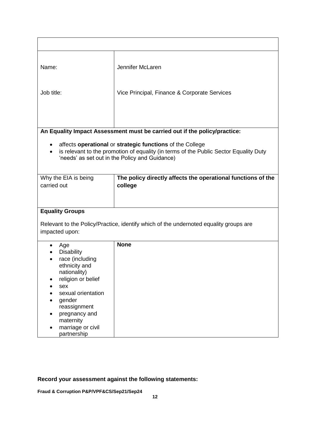| Name:                                                                                                                                                                                                                                                                                          | Jennifer McLaren                                                        |  |  |  |
|------------------------------------------------------------------------------------------------------------------------------------------------------------------------------------------------------------------------------------------------------------------------------------------------|-------------------------------------------------------------------------|--|--|--|
| Job title:                                                                                                                                                                                                                                                                                     | Vice Principal, Finance & Corporate Services                            |  |  |  |
| An Equality Impact Assessment must be carried out if the policy/practice:<br>affects operational or strategic functions of the College<br>$\bullet$<br>is relevant to the promotion of equality (in terms of the Public Sector Equality Duty<br>'needs' as set out in the Policy and Guidance) |                                                                         |  |  |  |
| Why the EIA is being<br>carried out                                                                                                                                                                                                                                                            | The policy directly affects the operational functions of the<br>college |  |  |  |
| <b>Equality Groups</b><br>Relevant to the Policy/Practice, identify which of the undernoted equality groups are<br>impacted upon:                                                                                                                                                              |                                                                         |  |  |  |
| Age<br>$\bullet$<br><b>Disability</b><br>race (including<br>ethnicity and<br>nationality)<br>religion or belief<br>sex<br>sexual orientation<br>gender<br>reassignment<br>pregnancy and<br>maternity<br>marriage or civil<br>partnership                                                       | <b>None</b>                                                             |  |  |  |

# **Record your assessment against the following statements:**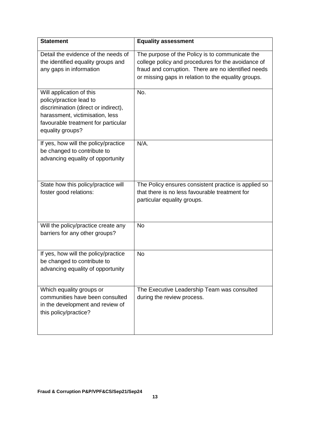| <b>Statement</b>                                                                                                                                                                          | <b>Equality assessment</b>                                                                                                                                                                                          |
|-------------------------------------------------------------------------------------------------------------------------------------------------------------------------------------------|---------------------------------------------------------------------------------------------------------------------------------------------------------------------------------------------------------------------|
| Detail the evidence of the needs of<br>the identified equality groups and<br>any gaps in information                                                                                      | The purpose of the Policy is to communicate the<br>college policy and procedures for the avoidance of<br>fraud and corruption. There are no identified needs<br>or missing gaps in relation to the equality groups. |
| Will application of this<br>policy/practice lead to<br>discrimination (direct or indirect),<br>harassment, victimisation, less<br>favourable treatment for particular<br>equality groups? | No.                                                                                                                                                                                                                 |
| If yes, how will the policy/practice<br>be changed to contribute to<br>advancing equality of opportunity                                                                                  | $N/A$ .                                                                                                                                                                                                             |
| State how this policy/practice will<br>foster good relations:                                                                                                                             | The Policy ensures consistent practice is applied so<br>that there is no less favourable treatment for<br>particular equality groups.                                                                               |
| Will the policy/practice create any<br>barriers for any other groups?                                                                                                                     | <b>No</b>                                                                                                                                                                                                           |
| If yes, how will the policy/practice<br>be changed to contribute to<br>advancing equality of opportunity                                                                                  | <b>No</b>                                                                                                                                                                                                           |
| Which equality groups or<br>communities have been consulted<br>in the development and review of<br>this policy/practice?                                                                  | The Executive Leadership Team was consulted<br>during the review process.                                                                                                                                           |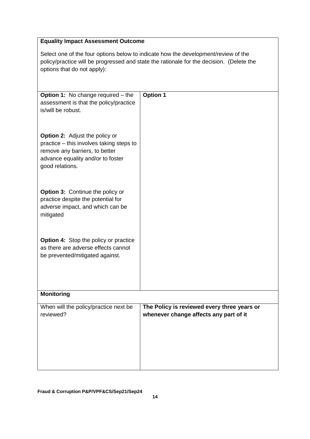# **Equality Impact Assessment Outcome**

Select one of the four options below to indicate how the development/review of the policy/practice will be progressed and state the rationale for the decision. (Delete the options that do not apply):

| <b>Option 1:</b> No change required – the<br>assessment is that the policy/practice<br>is/will be robust.                                                                   | <b>Option 1</b>                                                                       |
|-----------------------------------------------------------------------------------------------------------------------------------------------------------------------------|---------------------------------------------------------------------------------------|
| <b>Option 2:</b> Adjust the policy or<br>practice – this involves taking steps to<br>remove any barriers, to better<br>advance equality and/or to foster<br>good relations. |                                                                                       |
| Option 3: Continue the policy or<br>practice despite the potential for<br>adverse impact, and which can be<br>mitigated                                                     |                                                                                       |
| <b>Option 4:</b> Stop the policy or practice<br>as there are adverse effects cannot<br>be prevented/mitigated against.                                                      |                                                                                       |
| <b>Monitoring</b>                                                                                                                                                           |                                                                                       |
| When will the policy/practice next be<br>reviewed?                                                                                                                          | The Policy is reviewed every three years or<br>whenever change affects any part of it |